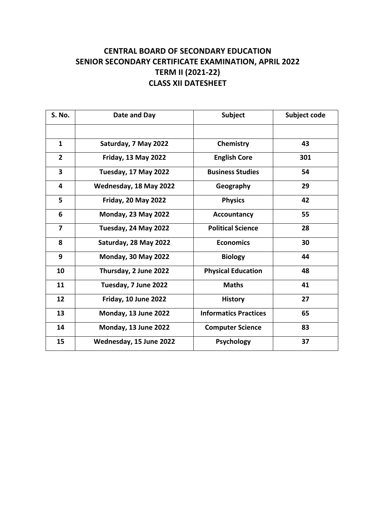## **CENTRAL BOARD OF SECONDARY EDUCATION SENIOR SECONDARY CERTIFICATE EXAMINATION, APRIL 2022 TERM II (2021-22) CLASS XII DATESHEET**

| <b>S. No.</b>           | Date and Day               | <b>Subject</b>               | Subject code |
|-------------------------|----------------------------|------------------------------|--------------|
|                         |                            |                              |              |
| $\mathbf{1}$            | Saturday, 7 May 2022       | Chemistry                    | 43           |
| $\overline{2}$          | <b>Friday, 13 May 2022</b> | <b>English Core</b>          | 301          |
| $\overline{\mathbf{3}}$ | Tuesday, 17 May 2022       | <b>Business Studies</b>      | 54           |
| 4                       | Wednesday, 18 May 2022     | Geography                    | 29           |
| 5                       | <b>Friday, 20 May 2022</b> | <b>Physics</b>               | 42           |
| 6                       | <b>Monday, 23 May 2022</b> | <b>Accountancy</b>           | 55           |
| $\overline{7}$          | Tuesday, 24 May 2022       | <b>Political Science</b>     | 28           |
| 8                       | Saturday, 28 May 2022      | <b>Economics</b>             | 30           |
| 9                       | <b>Monday, 30 May 2022</b> | <b>Biology</b>               | 44           |
| 10                      | Thursday, 2 June 2022      | <b>Physical Education</b>    | 48           |
| 11                      | Tuesday, 7 June 2022       | <b>Maths</b>                 | 41           |
| 12                      | Friday, 10 June 2022       | <b>History</b>               | 27           |
| 13                      | Monday, 13 June 2022       | <b>Informatics Practices</b> | 65           |
| 14                      | Monday, 13 June 2022       | <b>Computer Science</b>      | 83           |
| 15                      | Wednesday, 15 June 2022    | <b>Psychology</b>            | 37           |